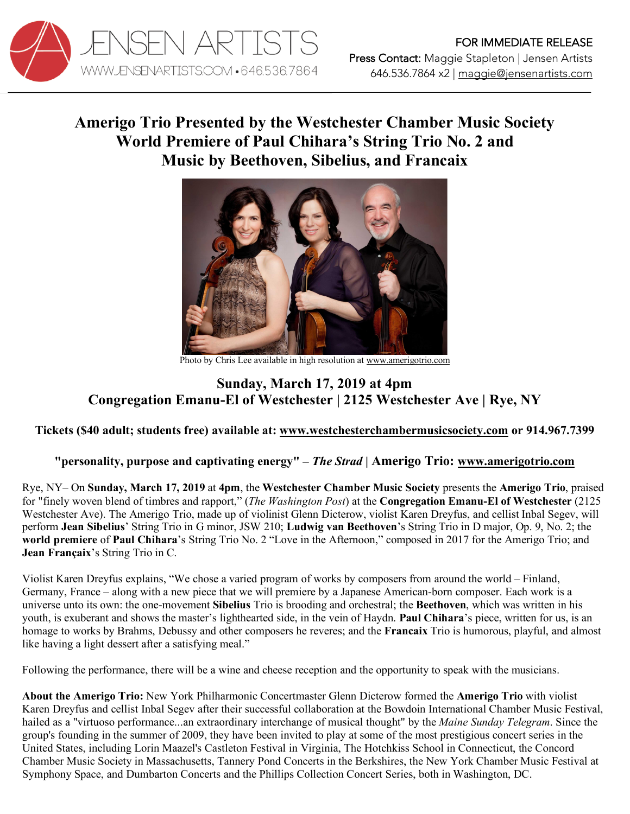

## **Amerigo Trio Presented by the Westchester Chamber Music Society World Premiere of Paul Chihara's String Trio No. 2 and Music by Beethoven, Sibelius, and Francaix**



Photo by Chris Lee available in high resolution at www.amerigotrio.com

## **Sunday, March 17, 2019 at 4pm Congregation Emanu-El of Westchester | 2125 Westchester Ave | Rye, NY**

## **Tickets (\$40 adult; students free) available at: www.westchesterchambermusicsociety.com or 914.967.7399**

## **"personality, purpose and captivating energy" –** *The Strad* **| Amerigo Trio: www.amerigotrio.com**

Rye, NY– On **Sunday, March 17, 2019** at **4pm**, the **Westchester Chamber Music Society** presents the **Amerigo Trio**, praised for "finely woven blend of timbres and rapport," (*The Washington Post*) at the **Congregation Emanu-El of Westchester** (2125 Westchester Ave). The Amerigo Trio, made up of violinist Glenn Dicterow, violist Karen Dreyfus, and cellist Inbal Segev, will perform **Jean Sibelius**' String Trio in G minor, JSW 210; **Ludwig van Beethoven**'s String Trio in D major, Op. 9, No. 2; the **world premiere** of **Paul Chihara**'s String Trio No. 2 "Love in the Afternoon," composed in 2017 for the Amerigo Trio; and **Jean Françaix**'s String Trio in C.

Violist Karen Dreyfus explains, "We chose a varied program of works by composers from around the world – Finland, Germany, France – along with a new piece that we will premiere by a Japanese American-born composer. Each work is a universe unto its own: the one-movement **Sibelius** Trio is brooding and orchestral; the **Beethoven**, which was written in his youth, is exuberant and shows the master's lighthearted side, in the vein of Haydn. **Paul Chihara**'s piece, written for us, is an homage to works by Brahms, Debussy and other composers he reveres; and the **Francaix** Trio is humorous, playful, and almost like having a light dessert after a satisfying meal."

Following the performance, there will be a wine and cheese reception and the opportunity to speak with the musicians.

**About the Amerigo Trio:** New York Philharmonic Concertmaster Glenn Dicterow formed the **Amerigo Trio** with violist Karen Dreyfus and cellist Inbal Segev after their successful collaboration at the Bowdoin International Chamber Music Festival, hailed as a "virtuoso performance...an extraordinary interchange of musical thought" by the *Maine Sunday Telegram*. Since the group's founding in the summer of 2009, they have been invited to play at some of the most prestigious concert series in the United States, including Lorin Maazel's Castleton Festival in Virginia, The Hotchkiss School in Connecticut, the Concord Chamber Music Society in Massachusetts, Tannery Pond Concerts in the Berkshires, the New York Chamber Music Festival at Symphony Space, and Dumbarton Concerts and the Phillips Collection Concert Series, both in Washington, DC.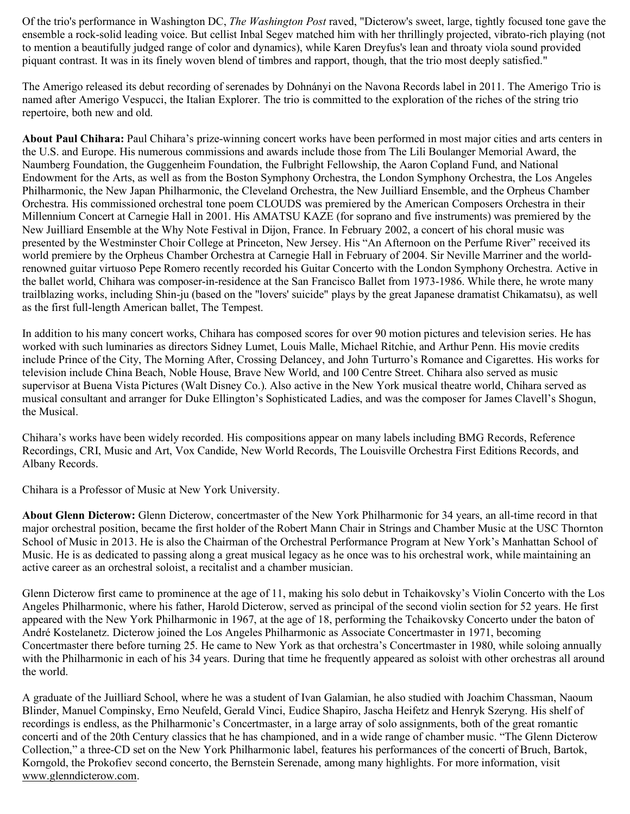Of the trio's performance in Washington DC, *The Washington Post* raved, "Dicterow's sweet, large, tightly focused tone gave the ensemble a rock-solid leading voice. But cellist Inbal Segev matched him with her thrillingly projected, vibrato-rich playing (not to mention a beautifully judged range of color and dynamics), while Karen Dreyfus's lean and throaty viola sound provided piquant contrast. It was in its finely woven blend of timbres and rapport, though, that the trio most deeply satisfied."

The Amerigo released its debut recording of serenades by Dohnányi on the Navona Records label in 2011. The Amerigo Trio is named after Amerigo Vespucci, the Italian Explorer. The trio is committed to the exploration of the riches of the string trio repertoire, both new and old.

**About Paul Chihara:** Paul Chihara's prize-winning concert works have been performed in most major cities and arts centers in the U.S. and Europe. His numerous commissions and awards include those from The Lili Boulanger Memorial Award, the Naumberg Foundation, the Guggenheim Foundation, the Fulbright Fellowship, the Aaron Copland Fund, and National Endowment for the Arts, as well as from the Boston Symphony Orchestra, the London Symphony Orchestra, the Los Angeles Philharmonic, the New Japan Philharmonic, the Cleveland Orchestra, the New Juilliard Ensemble, and the Orpheus Chamber Orchestra. His commissioned orchestral tone poem CLOUDS was premiered by the American Composers Orchestra in their Millennium Concert at Carnegie Hall in 2001. His AMATSU KAZE (for soprano and five instruments) was premiered by the New Juilliard Ensemble at the Why Note Festival in Dijon, France. In February 2002, a concert of his choral music was presented by the Westminster Choir College at Princeton, New Jersey. His "An Afternoon on the Perfume River" received its world premiere by the Orpheus Chamber Orchestra at Carnegie Hall in February of 2004. Sir Neville Marriner and the worldrenowned guitar virtuoso Pepe Romero recently recorded his Guitar Concerto with the London Symphony Orchestra. Active in the ballet world, Chihara was composer-in-residence at the San Francisco Ballet from 1973-1986. While there, he wrote many trailblazing works, including Shin-ju (based on the "lovers' suicide" plays by the great Japanese dramatist Chikamatsu), as well as the first full-length American ballet, The Tempest.

In addition to his many concert works, Chihara has composed scores for over 90 motion pictures and television series. He has worked with such luminaries as directors Sidney Lumet, Louis Malle, Michael Ritchie, and Arthur Penn. His movie credits include Prince of the City, The Morning After, Crossing Delancey, and John Turturro's Romance and Cigarettes. His works for television include China Beach, Noble House, Brave New World, and 100 Centre Street. Chihara also served as music supervisor at Buena Vista Pictures (Walt Disney Co.). Also active in the New York musical theatre world, Chihara served as musical consultant and arranger for Duke Ellington's Sophisticated Ladies, and was the composer for James Clavell's Shogun, the Musical.

Chihara's works have been widely recorded. His compositions appear on many labels including BMG Records, Reference Recordings, CRI, Music and Art, Vox Candide, New World Records, The Louisville Orchestra First Editions Records, and Albany Records.

Chihara is a Professor of Music at New York University.

**About Glenn Dicterow:** Glenn Dicterow, concertmaster of the New York Philharmonic for 34 years, an all-time record in that major orchestral position, became the first holder of the Robert Mann Chair in Strings and Chamber Music at the USC Thornton School of Music in 2013. He is also the Chairman of the Orchestral Performance Program at New York's Manhattan School of Music. He is as dedicated to passing along a great musical legacy as he once was to his orchestral work, while maintaining an active career as an orchestral soloist, a recitalist and a chamber musician.

Glenn Dicterow first came to prominence at the age of 11, making his solo debut in Tchaikovsky's Violin Concerto with the Los Angeles Philharmonic, where his father, Harold Dicterow, served as principal of the second violin section for 52 years. He first appeared with the New York Philharmonic in 1967, at the age of 18, performing the Tchaikovsky Concerto under the baton of André Kostelanetz. Dicterow joined the Los Angeles Philharmonic as Associate Concertmaster in 1971, becoming Concertmaster there before turning 25. He came to New York as that orchestra's Concertmaster in 1980, while soloing annually with the Philharmonic in each of his 34 years. During that time he frequently appeared as soloist with other orchestras all around the world.

A graduate of the Juilliard School, where he was a student of Ivan Galamian, he also studied with Joachim Chassman, Naoum Blinder, Manuel Compinsky, Erno Neufeld, Gerald Vinci, Eudice Shapiro, Jascha Heifetz and Henryk Szeryng. His shelf of recordings is endless, as the Philharmonic's Concertmaster, in a large array of solo assignments, both of the great romantic concerti and of the 20th Century classics that he has championed, and in a wide range of chamber music. "The Glenn Dicterow Collection," a three-CD set on the New York Philharmonic label, features his performances of the concerti of Bruch, Bartok, Korngold, the Prokofiev second concerto, the Bernstein Serenade, among many highlights. For more information, visit www.glenndicterow.com.